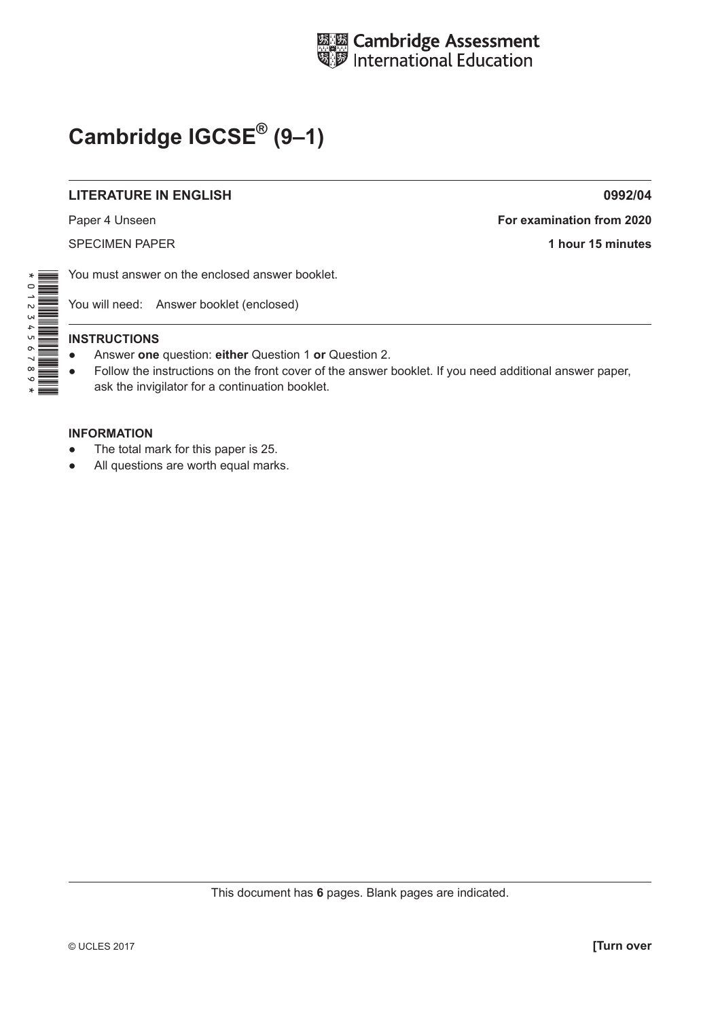

# **Cambridge IGCSE® (9–1)**

# **LITERATURE IN ENGLISH 0992/04**

SPECIMEN PAPER **1 hour 15 minutes**

Paper 4 Unseen **For examination from 2020** 

You must answer on the enclosed answer booklet.

You will need: Answer booklet (enclosed)

#### **INSTRUCTIONS**

\*0123456789\*

- Answer **one** question: **either** Question 1 **or** Question 2.
- Follow the instructions on the front cover of the answer booklet. If you need additional answer paper, ask the invigilator for a continuation booklet.

### **INFORMATION**

- The total mark for this paper is 25.
- All questions are worth equal marks.

This document has **6** pages. Blank pages are indicated.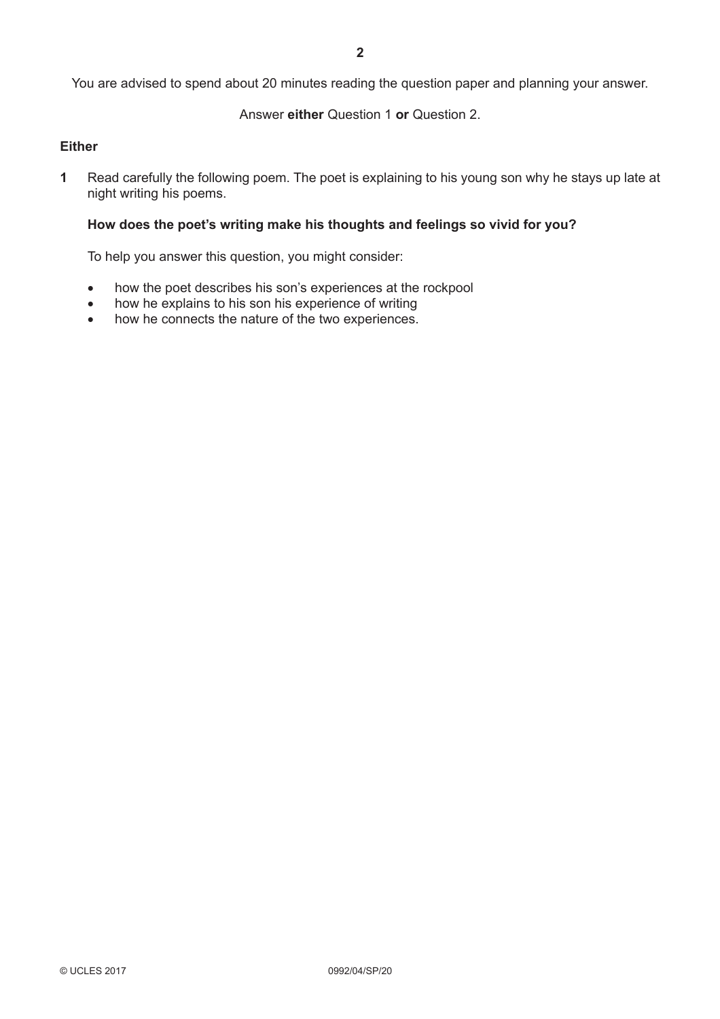You are advised to spend about 20 minutes reading the question paper and planning your answer.

Answer **either** Question 1 **or** Question 2.

## **Either**

**1** Read carefully the following poem. The poet is explaining to his young son why he stays up late at night writing his poems.

### **How does the poet's writing make his thoughts and feelings so vivid for you?**

To help you answer this question, you might consider:

- how the poet describes his son's experiences at the rockpool
- how he explains to his son his experience of writing
- how he connects the nature of the two experiences.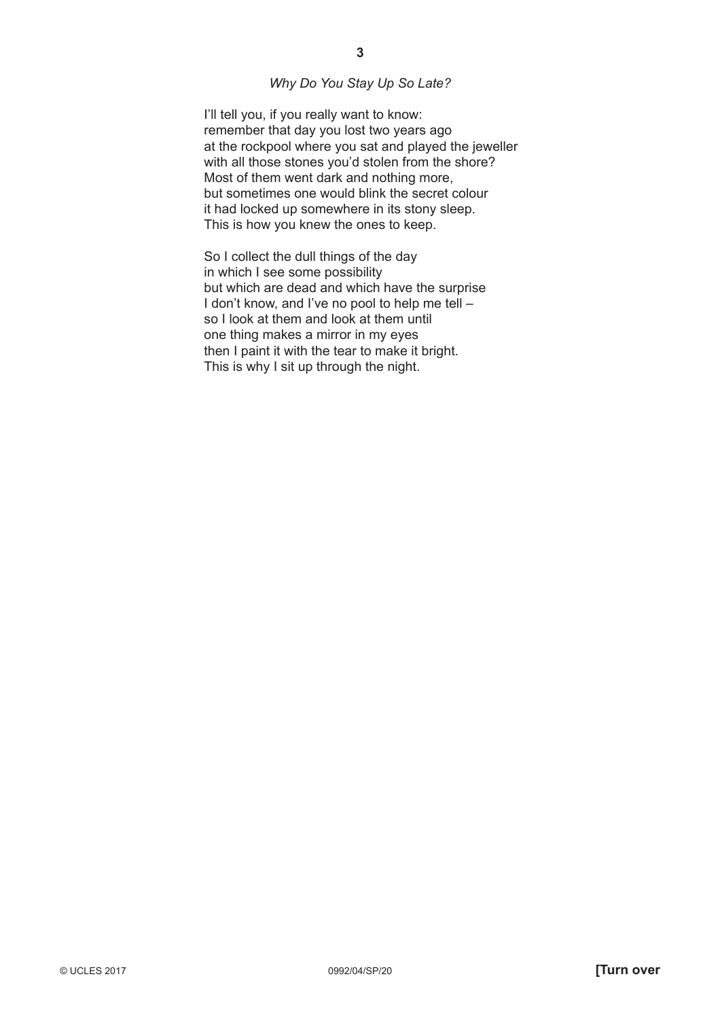#### *Why Do You Stay Up So Late?*

I'll tell you, if you really want to know: remember that day you lost two years ago at the rockpool where you sat and played the jeweller with all those stones you'd stolen from the shore? Most of them went dark and nothing more, but sometimes one would blink the secret colour it had locked up somewhere in its stony sleep. This is how you knew the ones to keep.

So I collect the dull things of the day in which I see some possibility but which are dead and which have the surprise I don't know, and I've no pool to help me tell – so I look at them and look at them until one thing makes a mirror in my eyes then I paint it with the tear to make it bright. This is why I sit up through the night.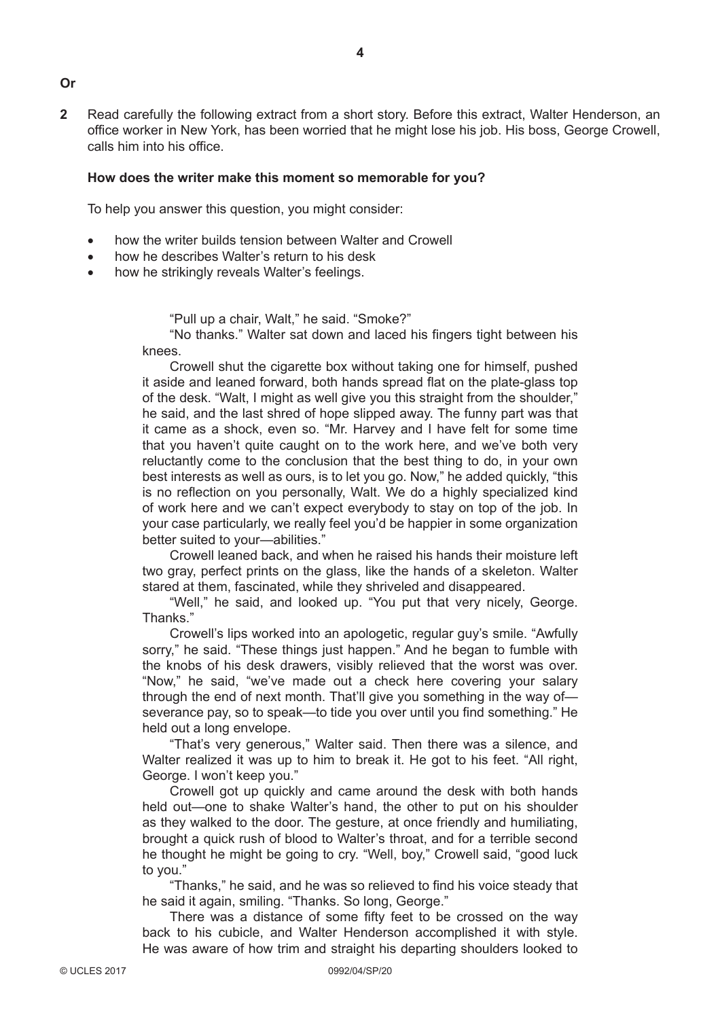**Or**

**2** Read carefully the following extract from a short story. Before this extract, Walter Henderson, an office worker in New York, has been worried that he might lose his job. His boss, George Crowell, calls him into his office.

#### **How does the writer make this moment so memorable for you?**

To help you answer this question, you might consider:

- how the writer builds tension between Walter and Crowell
- how he describes Walter's return to his desk
- how he strikingly reveals Walter's feelings.

"Pull up a chair, Walt," he said. "Smoke?"

"No thanks." Walter sat down and laced his fingers tight between his knees.

Crowell shut the cigarette box without taking one for himself, pushed it aside and leaned forward, both hands spread flat on the plate-glass top of the desk. "Walt, I might as well give you this straight from the shoulder," he said, and the last shred of hope slipped away. The funny part was that it came as a shock, even so. "Mr. Harvey and I have felt for some time that you haven't quite caught on to the work here, and we've both very reluctantly come to the conclusion that the best thing to do, in your own best interests as well as ours, is to let you go. Now," he added quickly, "this is no reflection on you personally, Walt. We do a highly specialized kind of work here and we can't expect everybody to stay on top of the job. In your case particularly, we really feel you'd be happier in some organization better suited to your—abilities."

Crowell leaned back, and when he raised his hands their moisture left two gray, perfect prints on the glass, like the hands of a skeleton. Walter stared at them, fascinated, while they shriveled and disappeared.

"Well," he said, and looked up. "You put that very nicely, George. Thanks."

Crowell's lips worked into an apologetic, regular guy's smile. "Awfully sorry," he said. "These things just happen." And he began to fumble with the knobs of his desk drawers, visibly relieved that the worst was over. "Now," he said, "we've made out a check here covering your salary through the end of next month. That'll give you something in the way of severance pay, so to speak—to tide you over until you find something." He held out a long envelope.

"That's very generous," Walter said. Then there was a silence, and Walter realized it was up to him to break it. He got to his feet. "All right, George. I won't keep you."

Crowell got up quickly and came around the desk with both hands held out—one to shake Walter's hand, the other to put on his shoulder as they walked to the door. The gesture, at once friendly and humiliating, brought a quick rush of blood to Walter's throat, and for a terrible second he thought he might be going to cry. "Well, boy," Crowell said, "good luck to you."

"Thanks," he said, and he was so relieved to find his voice steady that he said it again, smiling. "Thanks. So long, George."

There was a distance of some fifty feet to be crossed on the way back to his cubicle, and Walter Henderson accomplished it with style. He was aware of how trim and straight his departing shoulders looked to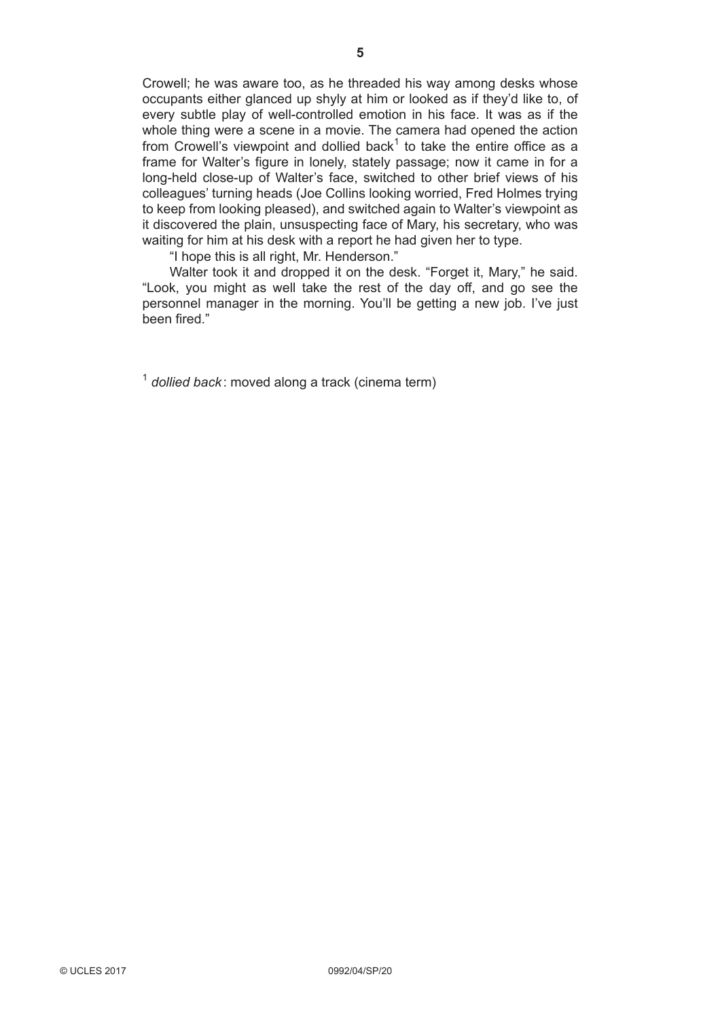Crowell; he was aware too, as he threaded his way among desks whose occupants either glanced up shyly at him or looked as if they'd like to, of every subtle play of well-controlled emotion in his face. It was as if the whole thing were a scene in a movie. The camera had opened the action from Crowell's viewpoint and dollied back<sup>1</sup> to take the entire office as a frame for Walter's figure in lonely, stately passage; now it came in for a long-held close-up of Walter's face, switched to other brief views of his colleagues' turning heads (Joe Collins looking worried, Fred Holmes trying to keep from looking pleased), and switched again to Walter's viewpoint as it discovered the plain, unsuspecting face of Mary, his secretary, who was waiting for him at his desk with a report he had given her to type.

"I hope this is all right, Mr. Henderson."

Walter took it and dropped it on the desk. "Forget it, Mary," he said. "Look, you might as well take the rest of the day off, and go see the personnel manager in the morning. You'll be getting a new job. I've just been fired."

<sup>1</sup> *dollied back* : moved along a track (cinema term)